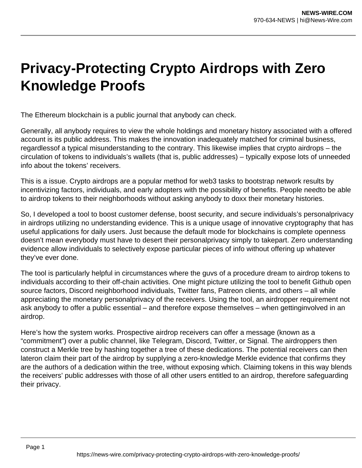## **Privacy-Protecting Crypto Airdrops with Zero Knowledge Proofs**

The Ethereum blockchain is a public journal that anybody can check.

Generally, all anybody requires to view the whole holdings and monetary history associated with a offered account is its public address. This makes the innovation inadequately matched for criminal business, regardlessof a typical misunderstanding to the contrary. This likewise implies that crypto airdrops – the circulation of tokens to individuals's wallets (that is, public addresses) – typically expose lots of unneeded info about the tokens' receivers.

This is a issue. Crypto airdrops are a popular method for web3 tasks to bootstrap network results by incentivizing factors, individuals, and early adopters with the possibility of benefits. People needto be able to airdrop tokens to their neighborhoods without asking anybody to doxx their monetary histories.

So, I developed a tool to boost customer defense, boost security, and secure individuals's personalprivacy in airdrops utilizing no understanding evidence. This is a unique usage of innovative cryptography that has useful applications for daily users. Just because the default mode for blockchains is complete openness doesn't mean everybody must have to desert their personalprivacy simply to takepart. Zero understanding evidence allow individuals to selectively expose particular pieces of info without offering up whatever they've ever done.

The tool is particularly helpful in circumstances where the guvs of a procedure dream to airdrop tokens to individuals according to their off-chain activities. One might picture utilizing the tool to benefit Github open source factors, Discord neighborhood individuals, Twitter fans, Patreon clients, and others – all while appreciating the monetary personalprivacy of the receivers. Using the tool, an airdropper requirement not ask anybody to offer a public essential – and therefore expose themselves – when gettinginvolved in an airdrop.

Here's how the system works. Prospective airdrop receivers can offer a message (known as a "commitment") over a public channel, like Telegram, Discord, Twitter, or Signal. The airdroppers then construct a Merkle tree by hashing together a tree of these dedications. The potential receivers can then lateron claim their part of the airdrop by supplying a zero-knowledge Merkle evidence that confirms they are the authors of a dedication within the tree, without exposing which. Claiming tokens in this way blends the receivers' public addresses with those of all other users entitled to an airdrop, therefore safeguarding their privacy.